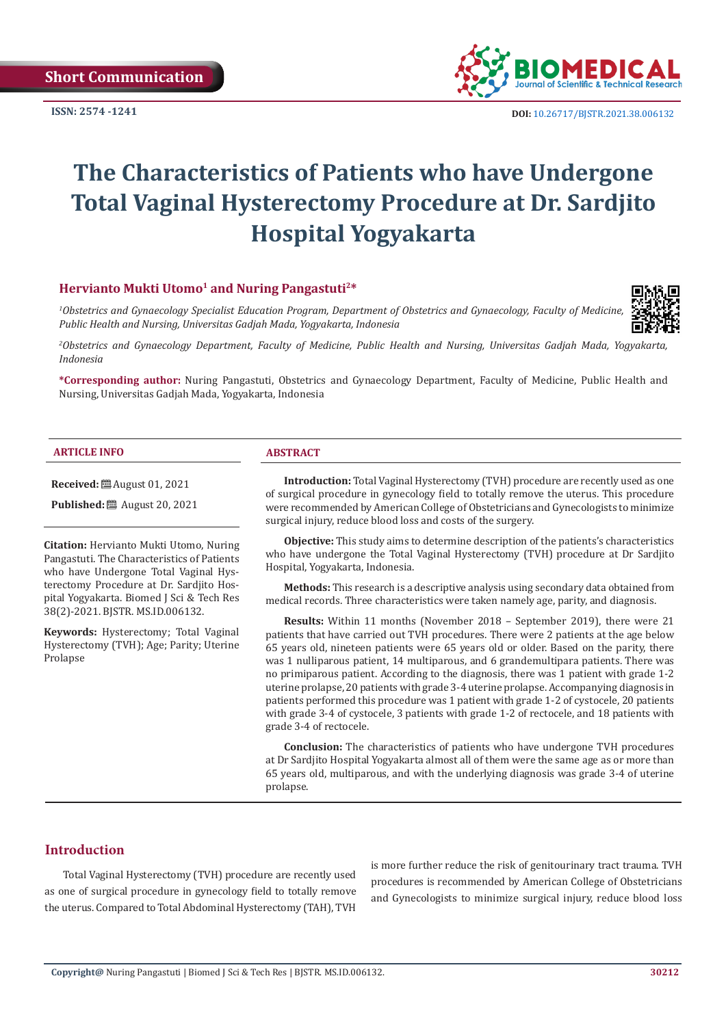**ISSN: 2574 -1241**



 **DOI:** [10.26717/BJSTR.2021.38.006132](https://dx.doi.org/10.26717/BJSTR.2021.38.006132)

# **The Characteristics of Patients who have Undergone Total Vaginal Hysterectomy Procedure at Dr. Sardjito Hospital Yogyakarta**

# Hervianto Mukti Utomo<sup>1</sup> and Nuring Pangastuti<sup>2\*</sup>

*1 Obstetrics and Gynaecology Specialist Education Program, Department of Obstetrics and Gynaecology, Faculty of Medicine, Public Health and Nursing, Universitas Gadjah Mada, Yogyakarta, Indonesia*



*2 Obstetrics and Gynaecology Department, Faculty of Medicine, Public Health and Nursing, Universitas Gadjah Mada, Yogyakarta, Indonesia*

**\*Corresponding author:** Nuring Pangastuti, Obstetrics and Gynaecology Department, Faculty of Medicine, Public Health and Nursing, Universitas Gadjah Mada, Yogyakarta, Indonesia

#### **ARTICLE INFO ABSTRACT**

**Received:** ■ August 01, 2021

**Published:** ■ August 20, 2021

**Citation:** Hervianto Mukti Utomo, Nuring Pangastuti. The Characteristics of Patients who have Undergone Total Vaginal Hysterectomy Procedure at Dr. Sardjito Hospital Yogyakarta. Biomed J Sci & Tech Res 38(2)-2021. BJSTR. MS.ID.006132.

**Keywords:** Hysterectomy; Total Vaginal Hysterectomy (TVH); Age; Parity; Uterine Prolapse

**Introduction:** Total Vaginal Hysterectomy (TVH) procedure are recently used as one of surgical procedure in gynecology field to totally remove the uterus. This procedure were recommended by American College of Obstetricians and Gynecologists to minimize surgical injury, reduce blood loss and costs of the surgery.

**Objective:** This study aims to determine description of the patients's characteristics who have undergone the Total Vaginal Hysterectomy (TVH) procedure at Dr Sardjito Hospital, Yogyakarta, Indonesia.

**Methods:** This research is a descriptive analysis using secondary data obtained from medical records. Three characteristics were taken namely age, parity, and diagnosis.

**Results:** Within 11 months (November 2018 – September 2019), there were 21 patients that have carried out TVH procedures. There were 2 patients at the age below 65 years old, nineteen patients were 65 years old or older. Based on the parity, there was 1 nulliparous patient, 14 multiparous, and 6 grandemultipara patients. There was no primiparous patient. According to the diagnosis, there was 1 patient with grade 1-2 uterine prolapse, 20 patients with grade 3-4 uterine prolapse. Accompanying diagnosis in patients performed this procedure was 1 patient with grade 1-2 of cystocele, 20 patients with grade 3-4 of cystocele, 3 patients with grade 1-2 of rectocele, and 18 patients with grade 3-4 of rectocele.

**Conclusion:** The characteristics of patients who have undergone TVH procedures at Dr Sardjito Hospital Yogyakarta almost all of them were the same age as or more than 65 years old, multiparous, and with the underlying diagnosis was grade 3-4 of uterine prolapse.

# **Introduction**

Total Vaginal Hysterectomy (TVH) procedure are recently used as one of surgical procedure in gynecology field to totally remove the uterus. Compared to Total Abdominal Hysterectomy (TAH), TVH is more further reduce the risk of genitourinary tract trauma. TVH procedures is recommended by American College of Obstetricians and Gynecologists to minimize surgical injury, reduce blood loss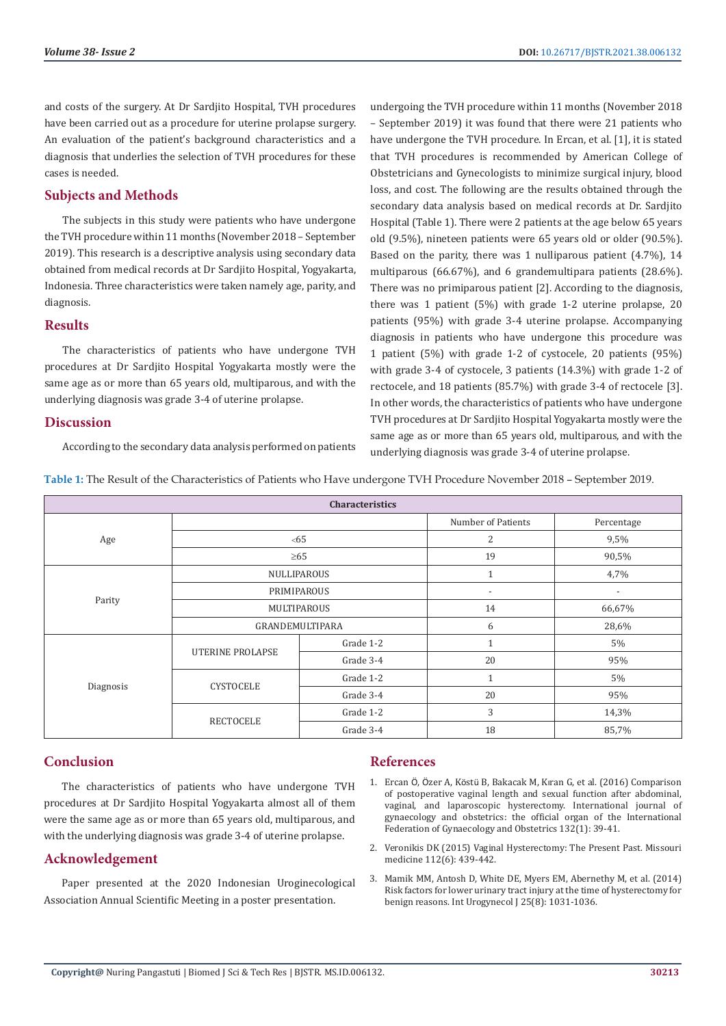and costs of the surgery. At Dr Sardjito Hospital, TVH procedures have been carried out as a procedure for uterine prolapse surgery. An evaluation of the patient's background characteristics and a diagnosis that underlies the selection of TVH procedures for these cases is needed.

### **Subjects and Methods**

The subjects in this study were patients who have undergone the TVH procedure within 11 months (November 2018 – September 2019). This research is a descriptive analysis using secondary data obtained from medical records at Dr Sardjito Hospital, Yogyakarta, Indonesia. Three characteristics were taken namely age, parity, and diagnosis.

#### **Results**

The characteristics of patients who have undergone TVH procedures at Dr Sardjito Hospital Yogyakarta mostly were the same age as or more than 65 years old, multiparous, and with the underlying diagnosis was grade 3-4 of uterine prolapse.

#### **Discussion**

According to the secondary data analysis performed on patients

undergoing the TVH procedure within 11 months (November 2018 – September 2019) it was found that there were 21 patients who have undergone the TVH procedure. In Ercan, et al. [1], it is stated that TVH procedures is recommended by American College of Obstetricians and Gynecologists to minimize surgical injury, blood loss, and cost. The following are the results obtained through the secondary data analysis based on medical records at Dr. Sardjito Hospital (Table 1). There were 2 patients at the age below 65 years old (9.5%), nineteen patients were 65 years old or older (90.5%). Based on the parity, there was 1 nulliparous patient (4.7%), 14 multiparous (66.67%), and 6 grandemultipara patients (28.6%). There was no primiparous patient [2]. According to the diagnosis, there was 1 patient (5%) with grade 1-2 uterine prolapse, 20 patients (95%) with grade 3-4 uterine prolapse. Accompanying diagnosis in patients who have undergone this procedure was 1 patient (5%) with grade 1-2 of cystocele, 20 patients (95%) with grade 3-4 of cystocele, 3 patients (14.3%) with grade 1-2 of rectocele, and 18 patients (85.7%) with grade 3-4 of rectocele [3]. In other words, the characteristics of patients who have undergone TVH procedures at Dr Sardjito Hospital Yogyakarta mostly were the same age as or more than 65 years old, multiparous, and with the underlying diagnosis was grade 3-4 of uterine prolapse.

**Table 1:** The Result of the Characteristics of Patients who Have undergone TVH Procedure November 2018 – September 2019.

| <b>Characteristics</b> |                         |           |                          |                          |
|------------------------|-------------------------|-----------|--------------------------|--------------------------|
| Age                    |                         |           | Number of Patients       | Percentage               |
|                        | <65                     |           | 2                        | 9,5%                     |
|                        | $\geq 65$               |           | 19                       | 90,5%                    |
| Parity                 | NULLIPAROUS             |           | 1                        | 4,7%                     |
|                        | PRIMIPAROUS             |           | $\overline{\phantom{a}}$ | $\overline{\phantom{a}}$ |
|                        | MULTIPAROUS             |           | 14                       | 66,67%                   |
|                        | GRANDEMULTIPARA         |           | 6                        | 28,6%                    |
| Diagnosis              | <b>UTERINE PROLAPSE</b> | Grade 1-2 | $\mathbf{1}$             | 5%                       |
|                        |                         | Grade 3-4 | 20                       | 95%                      |
|                        | <b>CYSTOCELE</b>        | Grade 1-2 | $\mathbf{1}$             | 5%                       |
|                        |                         | Grade 3-4 | 20                       | 95%                      |
|                        | <b>RECTOCELE</b>        | Grade 1-2 | 3                        | 14,3%                    |
|                        |                         | Grade 3-4 | 18                       | 85,7%                    |

#### **Conclusion**

The characteristics of patients who have undergone TVH procedures at Dr Sardjito Hospital Yogyakarta almost all of them were the same age as or more than 65 years old, multiparous, and with the underlying diagnosis was grade 3-4 of uterine prolapse.

### **Acknowledgement**

Paper presented at the 2020 Indonesian Uroginecological Association Annual Scientific Meeting in a poster presentation.

## **References**

- 1. Ercan Ö, Özer A, Köstü B, Bakacak M, Kı[ran G, et al. \(2016\) Comparison](https://pubmed.ncbi.nlm.nih.gov/26475076/) [of postoperative vaginal length and sexual function after abdominal,](https://pubmed.ncbi.nlm.nih.gov/26475076/) [vaginal, and laparoscopic hysterectomy. International journal of](https://pubmed.ncbi.nlm.nih.gov/26475076/) [gynaecology and obstetrics: the official organ of the International](https://pubmed.ncbi.nlm.nih.gov/26475076/) [Federation of Gynaecology and Obstetrics 132\(1\): 39-41.](https://pubmed.ncbi.nlm.nih.gov/26475076/)
- 2. [Veronikis DK \(2015\) Vaginal Hysterectomy: The Present Past. Missouri](https://www.ncbi.nlm.nih.gov/pmc/articles/PMC6168092/) [medicine 112\(6\): 439-442.](https://www.ncbi.nlm.nih.gov/pmc/articles/PMC6168092/)
- 3. [Mamik MM, Antosh D, White DE, Myers EM, Abernethy M, et al. \(2014\)](https://pubmed.ncbi.nlm.nih.gov/24464470/) [Risk factors for lower urinary tract injury at the time of hysterectomy for](https://pubmed.ncbi.nlm.nih.gov/24464470/) benign reasons. Int Urogynecol [25(8): 1031-1036.